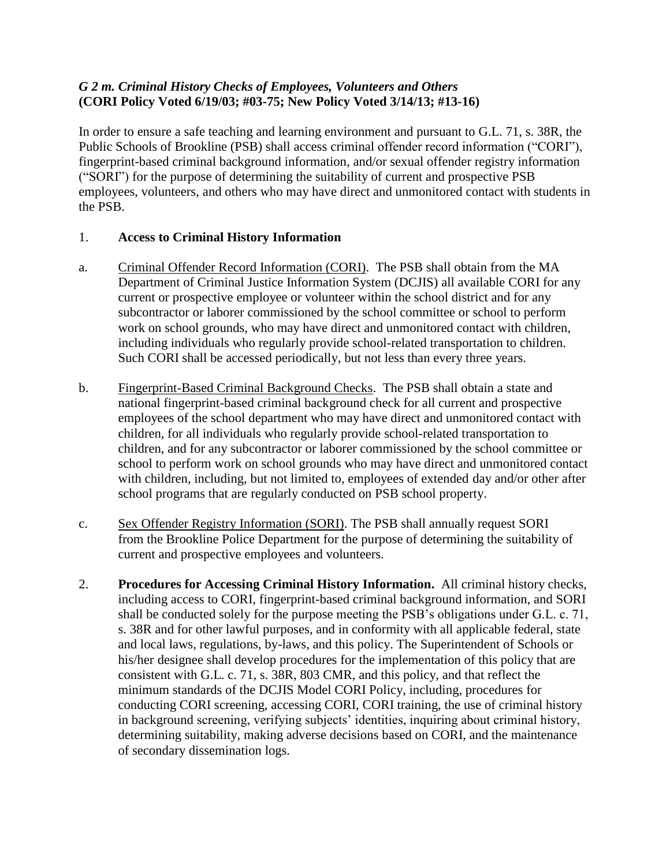## *G 2 m. Criminal History Checks of Employees, Volunteers and Others* **(CORI Policy Voted 6/19/03; #03-75; New Policy Voted 3/14/13; #13-16)**

In order to ensure a safe teaching and learning environment and pursuant to G.L. 71, s. 38R, the Public Schools of Brookline (PSB) shall access criminal offender record information ("CORI"), fingerprint-based criminal background information, and/or sexual offender registry information ("SORI") for the purpose of determining the suitability of current and prospective PSB employees, volunteers, and others who may have direct and unmonitored contact with students in the PSB.

## 1. **Access to Criminal History Information**

- a. Criminal Offender Record Information (CORI). The PSB shall obtain from the MA Department of Criminal Justice Information System (DCJIS) all available CORI for any current or prospective employee or volunteer within the school district and for any subcontractor or laborer commissioned by the school committee or school to perform work on school grounds, who may have direct and unmonitored contact with children, including individuals who regularly provide school-related transportation to children. Such CORI shall be accessed periodically, but not less than every three years.
- b. Fingerprint-Based Criminal Background Checks. The PSB shall obtain a state and national fingerprint-based criminal background check for all current and prospective employees of the school department who may have direct and unmonitored contact with children, for all individuals who regularly provide school-related transportation to children, and for any subcontractor or laborer commissioned by the school committee or school to perform work on school grounds who may have direct and unmonitored contact with children, including, but not limited to, employees of extended day and/or other after school programs that are regularly conducted on PSB school property.
- c. Sex Offender Registry Information (SORI). The PSB shall annually request SORI from the Brookline Police Department for the purpose of determining the suitability of current and prospective employees and volunteers.
- 2. **Procedures for Accessing Criminal History Information.** All criminal history checks, including access to CORI, fingerprint-based criminal background information, and SORI shall be conducted solely for the purpose meeting the PSB's obligations under G.L. c. 71, s. 38R and for other lawful purposes, and in conformity with all applicable federal, state and local laws, regulations, by-laws, and this policy. The Superintendent of Schools or his/her designee shall develop procedures for the implementation of this policy that are consistent with G.L. c. 71, s. 38R, 803 CMR, and this policy, and that reflect the minimum standards of the DCJIS Model CORI Policy, including, procedures for conducting CORI screening, accessing CORI, CORI training, the use of criminal history in background screening, verifying subjects' identities, inquiring about criminal history, determining suitability, making adverse decisions based on CORI, and the maintenance of secondary dissemination logs.